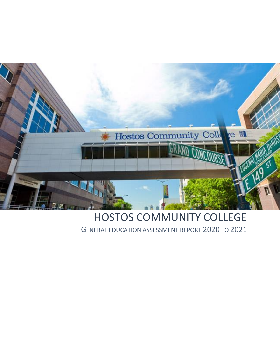

# HOSTOS COMMUNITY COLLEGE

GENERAL EDUCATION ASSESSMENT REPORT 2020 TO 2021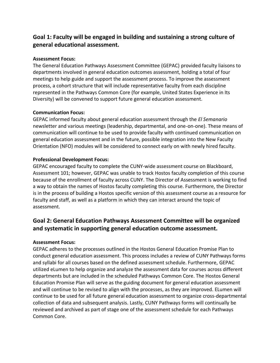# **Goal 1: Faculty will be engaged in building and sustaining a strong culture of general educational assessment.**

#### **Assessment Focus:**

The General Education Pathways Assessment Committee (GEPAC) provided faculty liaisons to departments involved in general education outcomes assessment, holding a total of four meetings to help guide and support the assessment process. To improve the assessment process, a cohort structure that will include representative faculty from each discipline represented in the Pathways Common Core (for example, United States Experience in Its Diversity) will be convened to support future general education assessment.

#### **Communication Focus:**

GEPAC informed faculty about general education assessment through the *El Semanario* newsletter and various meetings (leadership, departmental, and one-on-one). These means of communication will continue to be used to provide faculty with continued communication on general education assessment and in the future, possible integration into the New Faculty Orientation (NFO) modules will be considered to connect early on with newly hired faculty.

#### **Professional Development Focus:**

GEPAC encouraged faculty to complete the CUNY-wide assessment course on Blackboard, Assessment 101; however, GEPAC was unable to track Hostos faculty completion of this course because of the enrollment of faculty across CUNY. The Director of Assessment is working to find a way to obtain the names of Hostos faculty completing this course. Furthermore, the Director is in the process of building a Hostos specific version of this assessment course as a resource for faculty and staff, as well as a platform in which they can interact around the topic of assessment.

# **Goal 2: General Education Pathways Assessment Committee will be organized and systematic in supporting general education outcome assessment.**

#### **Assessment Focus:**

GEPAC adheres to the processes outlined in the Hostos General Education Promise Plan to conduct general education assessment. This process includes a review of CUNY Pathways forms and syllabi for all courses based on the defined assessment schedule. Furthermore, GEPAC utilized eLumen to help organize and analyze the assessment data for courses across different departments but are included in the scheduled Pathways Common Core. The Hostos General Education Promise Plan will serve as the guiding document for general education assessment and will continue to be revised to align with the processes, as they are improved. ELumen will continue to be used for all future general education assessment to organize cross-departmental collection of data and subsequent analysis. Lastly, CUNY Pathways forms will continually be reviewed and archived as part of stage one of the assessment schedule for each Pathways Common Core.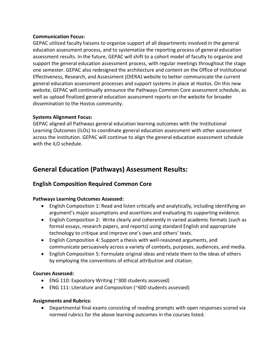#### **Communication Focus:**

GEPAC utilized faculty liaisons to organize support of all departments involved in the general education assessment process, and to systematize the reporting process of general education assessment results. In the future, GEPAC will shift to a cohort model of faculty to organize and support the general education assessment process, with regular meetings throughout the stage one semester. GEPAC also redesigned the architecture and content on the Office of Institutional Effectiveness, Research, and Assessment (OIERA) website to better communicate the current general education assessment processes and support systems in place at Hostos. On this new website, GEPAC will continually announce the Pathways Common Core assessment schedule, as well as upload finalized general education assessment reports on the website for broader dissemination to the Hostos community.

#### **Systems Alignment Focus:**

GEPAC aligned all Pathways general education learning outcomes with the Institutional Learning Outcomes (ILOs) to coordinate general education assessment with other assessment across the institution. GEPAC will continue to align the general education assessment schedule with the ILO schedule.

# **General Education (Pathways) Assessment Results:**

### **English Composition Required Common Core**

#### **Pathways Learning Outcomes Assessed:**

- English Composition 1: Read and listen critically and analytically, including identifying an argument's major assumptions and assertions and evaluating its supporting evidence.
- English Composition 2: Write clearly and coherently in varied academic formats (such as formal essays, research papers, and reports) using standard English and appropriate technology to critique and improve one's own and others' texts.
- English Composition 4: Support a thesis with well-reasoned arguments, and communicate persuasively across a variety of contexts, purposes, audiences, and media.
- English Composition 5: Formulate original ideas and relate them to the ideas of others by employing the conventions of ethical attribution and citation.

#### **Courses Assessed:**

- ENG 110: Expository Writing (~300 students assessed)
- ENG 111: Literature and Composition (~600 students assessed)

#### **Assignments and Rubrics:**

• Departmental final exams consisting of reading prompts with open responses scored via normed rubrics for the above learning outcomes in the courses listed.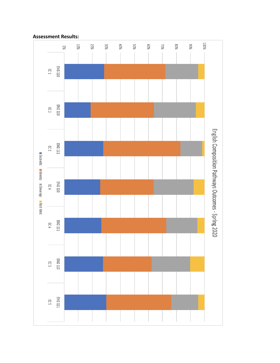

#### **Assessment Results:**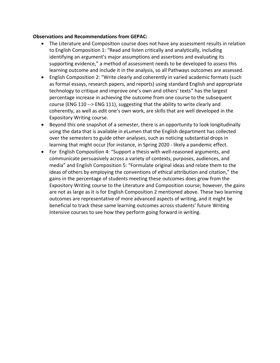#### **Observations and Recommendations from GEPAC:**

- The Literature and Composition course does not have any assessment results in relation to English Composition 1: "Read and listen critically and analytically, including identifying an argument's major assumptions and assertions and evaluating its supporting evidence," a method of assessment needs to be developed to assess this learning outcome and include it in the analysis, so all Pathways outcomes are assessed.
- English Composition 2: "Write clearly and coherently in varied academic formats (such as formal essays, research papers, and reports) using standard English and appropriate technology to critique and improve one's own and others' texts" has the largest percentage increase in achieving the outcome from one course to the subsequent course (ENG 110 --> ENG 111), suggesting that the ability to write clearly and coherently, as well as edit one's own work, are skills that are well developed in the Expository Writing course.
- Beyond this one snapshot of a semester, there is an opportunity to look longitudinally using the data that is available in eLumen that the English department has collected over the semesters to guide other analyses, such as noticing substantial drops in learning that might occur (for instance, in Spring 2020 - likely a pandemic effect.
- For English Composition 4: "Support a thesis with well-reasoned arguments, and communicate persuasively across a variety of contexts, purposes, audiences, and media" and English Composition 5: "Formulate original ideas and relate them to the ideas of others by employing the conventions of ethical attribution and citation," the gains in the percentage of students meeting these outcomes does grow from the Expository Writing course to the Literature and Composition course; however, the gains are not as large as it is for English Composition 2 mentioned above. These two learning outcomes are representative of more advanced aspects of writing, and it might be beneficial to track these same learning outcomes across students' future Writing Intensive courses to see how they perform going forward in writing.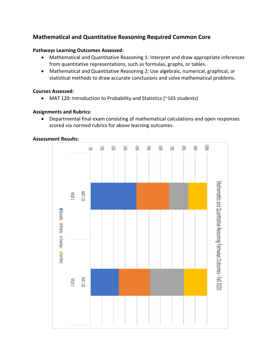# **Mathematical and Quantitative Reasoning Required Common Core**

#### **Pathways Learning Outcomes Assessed:**

- Mathematical and Quantitative Reasoning 1: Interpret and draw appropriate inferences from quantitative representations, such as formulas, graphs, or tables.
- Mathematical and Quantitative Reasoning 2: Use algebraic, numerical, graphical, or statistical methods to draw accurate conclusions and solve mathematical problems.

#### **Courses Assessed:**

• MAT 120: Introduction to Probability and Statistics (~165 students)

#### **Assignments and Rubrics:**

• Departmental final exam consisting of mathematical calculations and open responses scored via normed rubrics for above learning outcomes.

#### **Assessment Results:**